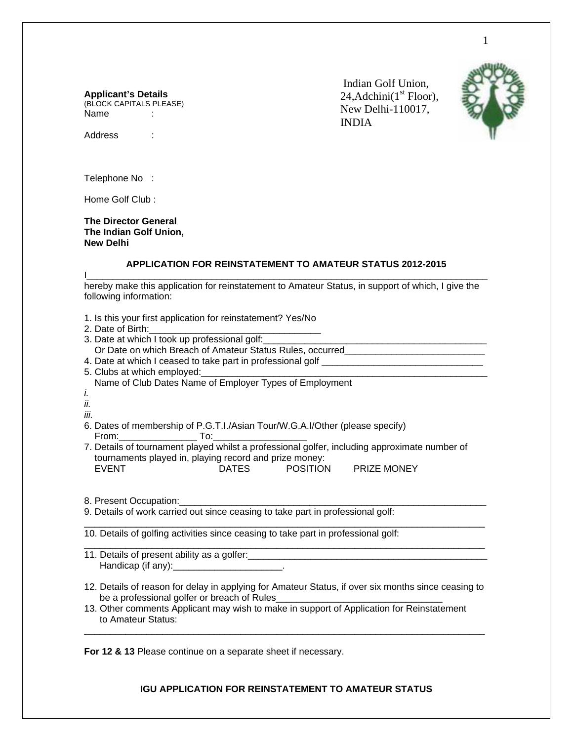### **Applicant's Details**

(BLOCK CAPITALS PLEASE) Name :

 Indian Golf Union, 24, Adchini $(1<sup>st</sup>$  Floor), New Delhi-110017, INDIA



Address :

Telephone No :

Home Golf Club :

### **The Director General The Indian Golf Union, New Delhi**

# **APPLICATION FOR REINSTATEMENT TO AMATEUR STATUS 2012-2015**

I\_\_\_\_\_\_\_\_\_\_\_\_\_\_\_\_\_\_\_\_\_\_\_\_\_\_\_\_\_\_\_\_\_\_\_\_\_\_\_\_\_\_\_\_\_\_\_\_\_\_\_\_\_\_\_\_\_\_\_\_\_\_\_\_\_\_\_\_\_\_\_\_\_\_\_\_\_

hereby make this application for reinstatement to Amateur Status, in support of which, I give the following information:

| 1. Is this your first application for reinstatement? Yes/No<br>2. Date of Birth:<br>3. Date at which I took up professional golf: ____________<br>Or Date on which Breach of Amateur Status Rules, occurred_______________________<br>5. Clubs at which employed:<br>Name of Club Dates Name of Employer Types of Employment<br>İ.<br>ii.<br>iii.<br>6. Dates of membership of P.G.T.I./Asian Tour/W.G.A.I/Other (please specify) |  |  |
|-----------------------------------------------------------------------------------------------------------------------------------------------------------------------------------------------------------------------------------------------------------------------------------------------------------------------------------------------------------------------------------------------------------------------------------|--|--|
| 7. Details of tournament played whilst a professional golfer, including approximate number of<br>tournaments played in, playing record and prize money:<br><b>EVENT</b><br>DATES POSITION PRIZE MONEY                                                                                                                                                                                                                             |  |  |
| 8. Present Occupation: 2008 2010 2020<br>9. Details of work carried out since ceasing to take part in professional golf:                                                                                                                                                                                                                                                                                                          |  |  |
|                                                                                                                                                                                                                                                                                                                                                                                                                                   |  |  |
| 10. Details of golfing activities since ceasing to take part in professional golf:                                                                                                                                                                                                                                                                                                                                                |  |  |
| Handicap (if any): _______________________.                                                                                                                                                                                                                                                                                                                                                                                       |  |  |
| 12. Details of reason for delay in applying for Amateur Status, if over six months since ceasing to<br>be a professional golfer or breach of Rules_                                                                                                                                                                                                                                                                               |  |  |
| 13. Other comments Applicant may wish to make in support of Application for Reinstatement<br>to Amateur Status:                                                                                                                                                                                                                                                                                                                   |  |  |

**For 12 & 13** Please continue on a separate sheet if necessary.

**IGU APPLICATION FOR REINSTATEMENT TO AMATEUR STATUS**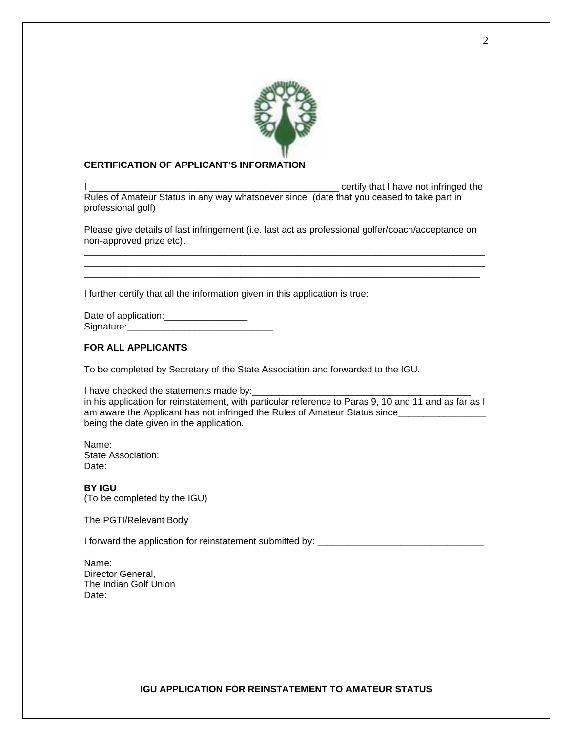

## **CERTIFICATION OF APPLICANT'S INFORMATION**

I certify that I have not infringed the Rules of Amateur Status in any way whatsoever since (date that you ceased to take part in professional golf)

Please give details of last infringement (i.e. last act as professional golfer/coach/acceptance on non-approved prize etc). \_\_\_\_\_\_\_\_\_\_\_\_\_\_\_\_\_\_\_\_\_\_\_\_\_\_\_\_\_\_\_\_\_\_\_\_\_\_\_\_\_\_\_\_\_\_\_\_\_\_\_\_\_\_\_\_\_\_\_\_\_\_\_\_\_\_\_\_\_\_\_\_\_\_\_\_\_

\_\_\_\_\_\_\_\_\_\_\_\_\_\_\_\_\_\_\_\_\_\_\_\_\_\_\_\_\_\_\_\_\_\_\_\_\_\_\_\_\_\_\_\_\_\_\_\_\_\_\_\_\_\_\_\_\_\_\_\_\_\_\_\_\_\_\_\_\_\_\_\_\_\_\_\_\_ \_\_\_\_\_\_\_\_\_\_\_\_\_\_\_\_\_\_\_\_\_\_\_\_\_\_\_\_\_\_\_\_\_\_\_\_\_\_\_\_\_\_\_\_\_\_\_\_\_\_\_\_\_\_\_\_\_\_\_\_\_\_\_\_\_\_\_\_\_\_\_\_\_\_\_\_

I further certify that all the information given in this application is true:

Date of application: Signature:

## **FOR ALL APPLICANTS**

To be completed by Secretary of the State Association and forwarded to the IGU.

I have checked the statements made by: in his application for reinstatement, with particular reference to Paras 9, 10 and 11 and as far as I am aware the Applicant has not infringed the Rules of Amateur Status since\_\_\_\_\_\_\_ being the date given in the application.

Name: State Association: Date:

**BY IGU**  (To be completed by the IGU)

The PGTI/Relevant Body

I forward the application for reinstatement submitted by:

Name: Director General, The Indian Golf Union Date: